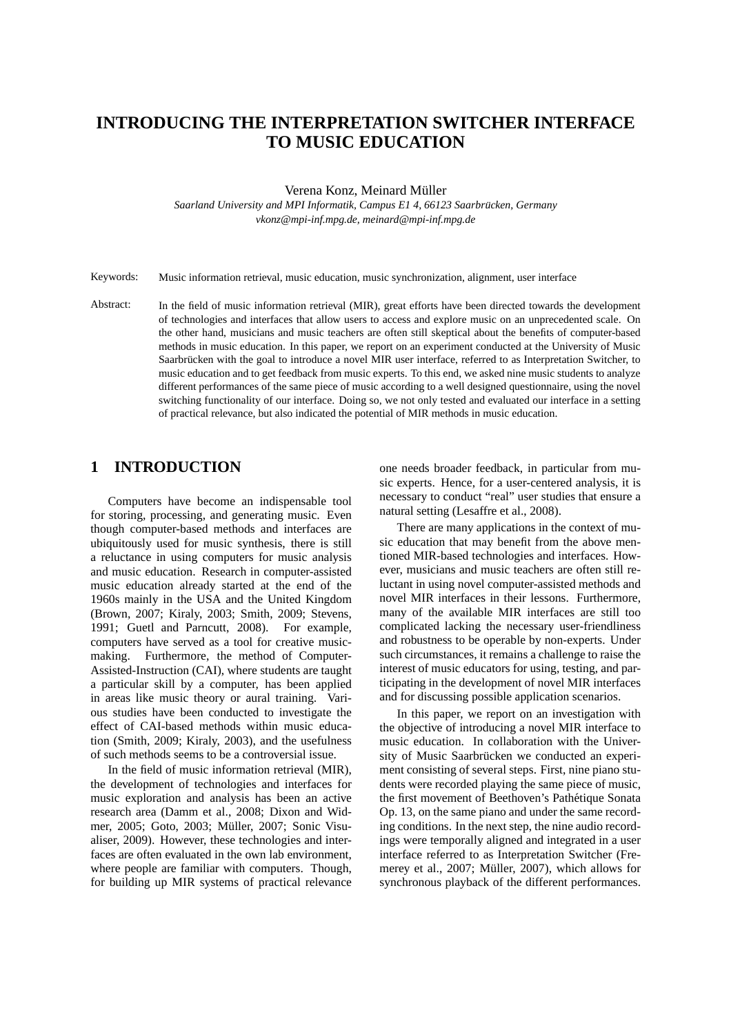# **INTRODUCING THE INTERPRETATION SWITCHER INTERFACE TO MUSIC EDUCATION**

Verena Konz, Meinard Müller

*Saarland University and MPI Informatik, Campus E1 4, 66123 Saarbrucken, Germany ¨ vkonz@mpi-inf.mpg.de, meinard@mpi-inf.mpg.de*

Keywords: Music information retrieval, music education, music synchronization, alignment, user interface

Abstract: In the field of music information retrieval (MIR), great efforts have been directed towards the development of technologies and interfaces that allow users to access and explore music on an unprecedented scale. On the other hand, musicians and music teachers are often still skeptical about the benefits of computer-based methods in music education. In this paper, we report on an experiment conducted at the University of Music Saarbrücken with the goal to introduce a novel MIR user interface, referred to as Interpretation Switcher, to music education and to get feedback from music experts. To this end, we asked nine music students to analyze different performances of the same piece of music according to a well designed questionnaire, using the novel switching functionality of our interface. Doing so, we not only tested and evaluated our interface in a setting of practical relevance, but also indicated the potential of MIR methods in music education.

# **1 INTRODUCTION**

Computers have become an indispensable tool for storing, processing, and generating music. Even though computer-based methods and interfaces are ubiquitously used for music synthesis, there is still a reluctance in using computers for music analysis and music education. Research in computer-assisted music education already started at the end of the 1960s mainly in the USA and the United Kingdom (Brown, 2007; Kiraly, 2003; Smith, 2009; Stevens, 1991; Guetl and Parncutt, 2008). For example, computers have served as a tool for creative musicmaking. Furthermore, the method of Computer-Assisted-Instruction (CAI), where students are taught a particular skill by a computer, has been applied in areas like music theory or aural training. Various studies have been conducted to investigate the effect of CAI-based methods within music education (Smith, 2009; Kiraly, 2003), and the usefulness of such methods seems to be a controversial issue.

In the field of music information retrieval (MIR), the development of technologies and interfaces for music exploration and analysis has been an active research area (Damm et al., 2008; Dixon and Widmer, 2005; Goto, 2003; Müller, 2007; Sonic Visualiser, 2009). However, these technologies and interfaces are often evaluated in the own lab environment, where people are familiar with computers. Though, for building up MIR systems of practical relevance one needs broader feedback, in particular from music experts. Hence, for a user-centered analysis, it is necessary to conduct "real" user studies that ensure a natural setting (Lesaffre et al., 2008).

There are many applications in the context of music education that may benefit from the above mentioned MIR-based technologies and interfaces. However, musicians and music teachers are often still reluctant in using novel computer-assisted methods and novel MIR interfaces in their lessons. Furthermore, many of the available MIR interfaces are still too complicated lacking the necessary user-friendliness and robustness to be operable by non-experts. Under such circumstances, it remains a challenge to raise the interest of music educators for using, testing, and participating in the development of novel MIR interfaces and for discussing possible application scenarios.

In this paper, we report on an investigation with the objective of introducing a novel MIR interface to music education. In collaboration with the University of Music Saarbrücken we conducted an experiment consisting of several steps. First, nine piano students were recorded playing the same piece of music, the first movement of Beethoven's Pathétique Sonata Op. 13, on the same piano and under the same recording conditions. In the next step, the nine audio recordings were temporally aligned and integrated in a user interface referred to as Interpretation Switcher (Fremerey et al.,  $2007$ ; Müller,  $2007$ ), which allows for synchronous playback of the different performances.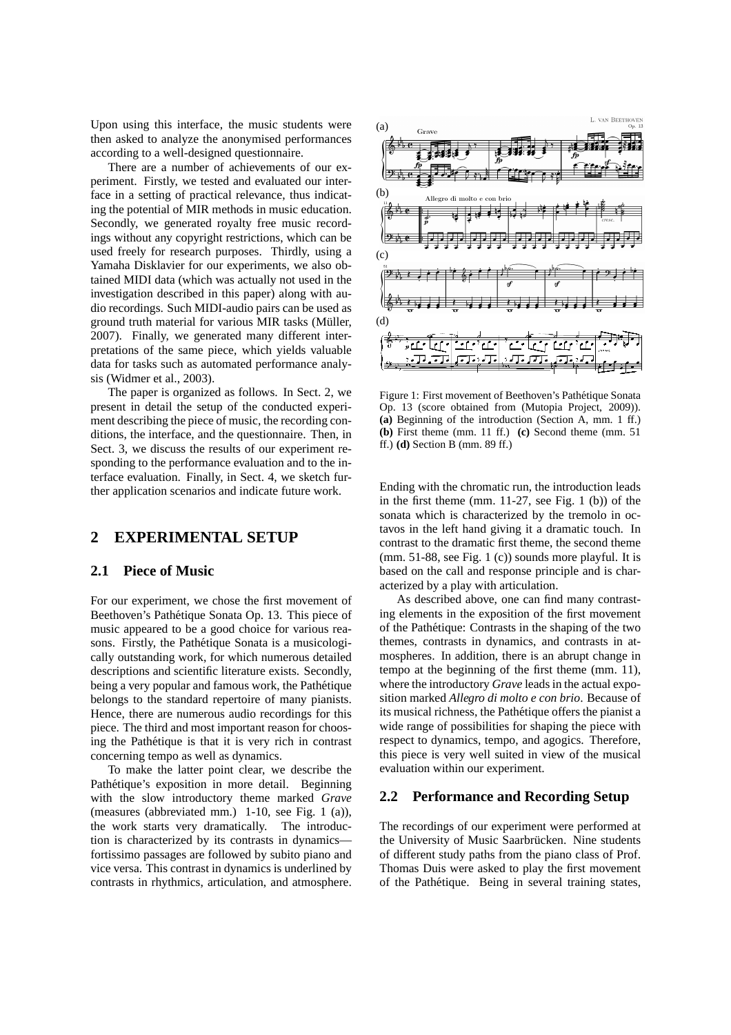Upon using this interface, the music students were then asked to analyze the anonymised performances according to a well-designed questionnaire.

There are a number of achievements of our experiment. Firstly, we tested and evaluated our interface in a setting of practical relevance, thus indicating the potential of MIR methods in music education. Secondly, we generated royalty free music recordings without any copyright restrictions, which can be used freely for research purposes. Thirdly, using a Yamaha Disklavier for our experiments, we also obtained MIDI data (which was actually not used in the investigation described in this paper) along with audio recordings. Such MIDI-audio pairs can be used as ground truth material for various MIR tasks (Müller, 2007). Finally, we generated many different interpretations of the same piece, which yields valuable data for tasks such as automated performance analysis (Widmer et al., 2003).

The paper is organized as follows. In Sect. 2, we present in detail the setup of the conducted experiment describing the piece of music, the recording conditions, the interface, and the questionnaire. Then, in Sect. 3, we discuss the results of our experiment responding to the performance evaluation and to the interface evaluation. Finally, in Sect. 4, we sketch further application scenarios and indicate future work.

### **2 EXPERIMENTAL SETUP**

### **2.1 Piece of Music**

For our experiment, we chose the first movement of Beethoven's Pathétique Sonata Op. 13. This piece of music appeared to be a good choice for various reasons. Firstly, the Pathétique Sonata is a musicologically outstanding work, for which numerous detailed descriptions and scientific literature exists. Secondly, being a very popular and famous work, the Pathétique belongs to the standard repertoire of many pianists. Hence, there are numerous audio recordings for this piece. The third and most important reason for choosing the Pathétique is that it is very rich in contrast concerning tempo as well as dynamics.

To make the latter point clear, we describe the Pathétique's exposition in more detail. Beginning with the slow introductory theme marked *Grave* (measures (abbreviated mm.) 1-10, see Fig. 1 (a)), the work starts very dramatically. The introduction is characterized by its contrasts in dynamics fortissimo passages are followed by subito piano and vice versa. This contrast in dynamics is underlined by contrasts in rhythmics, articulation, and atmosphere.



Figure 1: First movement of Beethoven's Pathetique Sonata ´ Op. 13 (score obtained from (Mutopia Project, 2009)). **(a)** Beginning of the introduction (Section A, mm. 1 ff.) **(b)** First theme (mm. 11 ff.) **(c)** Second theme (mm. 51 ff.) **(d)** Section B (mm. 89 ff.)

Ending with the chromatic run, the introduction leads in the first theme (mm. 11-27, see Fig. 1 (b)) of the sonata which is characterized by the tremolo in octavos in the left hand giving it a dramatic touch. In contrast to the dramatic first theme, the second theme (mm. 51-88, see Fig. 1 (c)) sounds more playful. It is based on the call and response principle and is characterized by a play with articulation.

As described above, one can find many contrasting elements in the exposition of the first movement of the Pathetique: Contrasts in the shaping of the two ´ themes, contrasts in dynamics, and contrasts in atmospheres. In addition, there is an abrupt change in tempo at the beginning of the first theme (mm. 11), where the introductory *Grave* leads in the actual exposition marked *Allegro di molto e con brio*. Because of its musical richness, the Pathetique offers the pianist a ´ wide range of possibilities for shaping the piece with respect to dynamics, tempo, and agogics. Therefore, this piece is very well suited in view of the musical evaluation within our experiment.

# **2.2 Performance and Recording Setup**

The recordings of our experiment were performed at the University of Music Saarbrücken. Nine students of different study paths from the piano class of Prof. Thomas Duis were asked to play the first movement of the Pathetique. Being in several training states, ´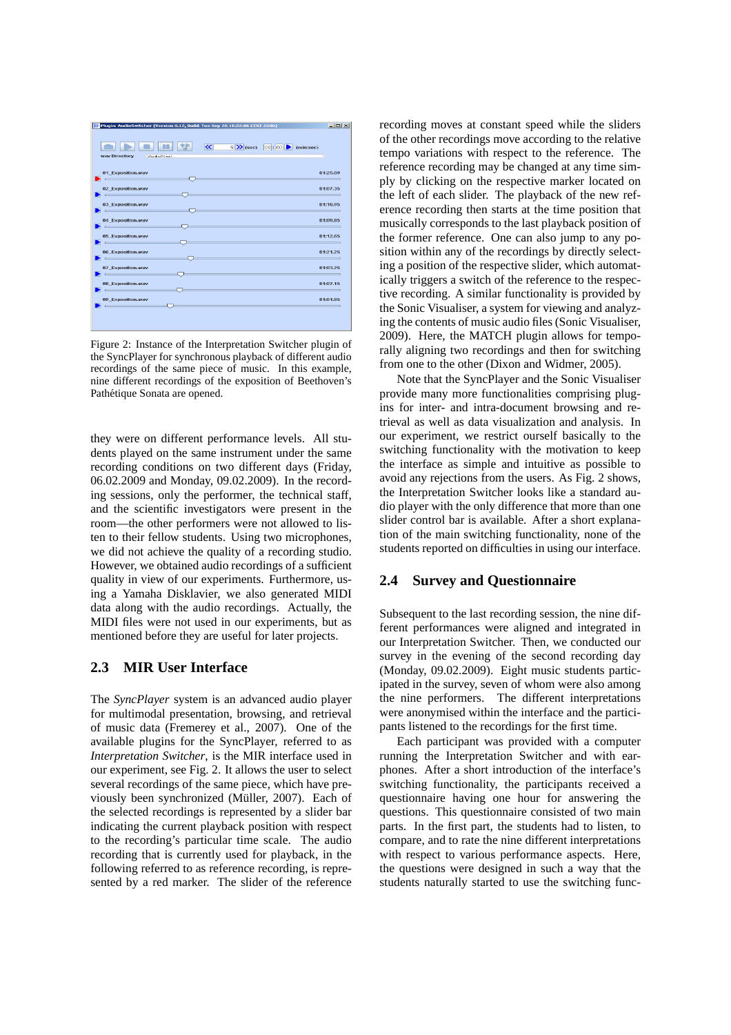| Plugin: AudioSwitcher (Version 0.12, Build: Tue Sep 26 16:22:06 CEST 2006)                                                                                                                                                                                |       |                                                                                                                       | $-10 \times 1$                                |
|-----------------------------------------------------------------------------------------------------------------------------------------------------------------------------------------------------------------------------------------------------------|-------|-----------------------------------------------------------------------------------------------------------------------|-----------------------------------------------|
|                                                                                                                                                                                                                                                           | $\ll$ | $6 \blacktriangleright$ (sec) $00:00$ $\blacktriangleright$<br>(min;sec)                                              |                                               |
| way Directory<br>MudioFilesV                                                                                                                                                                                                                              |       |                                                                                                                       |                                               |
| 01 Exposition.wav<br><u>and the community of the community of the community of the community of the community of the community of the community of the community of the community of the community of the community of the community of the community</u> |       | the control of the control of the control of the                                                                      | 01:25.09                                      |
| 02 Exposition.wav<br>$\sim$ $\sim$ $\sim$ $\sim$ $\sim$                                                                                                                                                                                                   |       | <u> 1989 - Johann John Stein, markin sanat masjid a shekara ta 1989 - Johann Stein, masjid a shekara ta 1989 - Jo</u> | 01:07.35                                      |
| 03 Exposition.wav<br>$\overline{\phantom{a}}$ , and the set of $\overline{\phantom{a}}$                                                                                                                                                                   |       | the control of the control of the control of                                                                          | 01:18.95<br>the control of the control of the |
| 04 Exposition.wav<br><u>in the state of the state of the state of the state of the state of the state of the state of the state of the state of the state of the state of the state of the state of the state of the state of the state of the state </u> |       | the contract of the contract of the contract of the contract of the contract of                                       | 01:09.85                                      |
| 05 Exposition.wav<br><u> La Carlo de la Carlo de la Carlo de la Ca</u>                                                                                                                                                                                    |       | <u> 1989 - Johann Stein, marwolaethau a bhann an t-Amhair an t-Amhair an t-Amhair an t-Amhair an t-Amhair an t-A</u>  | 01:12.65                                      |
| 06 Exposition.wav<br>$\overline{\phantom{a}}$ , and $\overline{\phantom{a}}$ , and $\overline{\phantom{a}}$                                                                                                                                               |       | <u> 1989 - Johann Stein, mars et al. 1989 - Anna ann an t-</u>                                                        | 01:21.25                                      |
| 07 Exposition.wav<br><u>in the company of the company of the company of the company of the company of the company of the company of the company of the company of the company of the company of the company of the company of the company of the comp</u> |       | the control of the control of the control of the control of the control of                                            | 01:03.25                                      |
| 08 Exposition.wav<br>and the control of the control of the control of                                                                                                                                                                                     |       | the control of the control of the control of the control of the control of                                            | 01:07.15                                      |
| 09 Exposition.wav<br>and the control of the control of                                                                                                                                                                                                    |       | the control of the control of the control of the control of the control of the control of the control of the c        | 01:01.85                                      |
|                                                                                                                                                                                                                                                           |       |                                                                                                                       |                                               |

Figure 2: Instance of the Interpretation Switcher plugin of the SyncPlayer for synchronous playback of different audio recordings of the same piece of music. In this example, nine different recordings of the exposition of Beethoven's Pathétique Sonata are opened.

they were on different performance levels. All students played on the same instrument under the same recording conditions on two different days (Friday, 06.02.2009 and Monday, 09.02.2009). In the recording sessions, only the performer, the technical staff, and the scientific investigators were present in the room—the other performers were not allowed to listen to their fellow students. Using two microphones, we did not achieve the quality of a recording studio. However, we obtained audio recordings of a sufficient quality in view of our experiments. Furthermore, using a Yamaha Disklavier, we also generated MIDI data along with the audio recordings. Actually, the MIDI files were not used in our experiments, but as mentioned before they are useful for later projects.

### **2.3 MIR User Interface**

The *SyncPlayer* system is an advanced audio player for multimodal presentation, browsing, and retrieval of music data (Fremerey et al., 2007). One of the available plugins for the SyncPlayer, referred to as *Interpretation Switcher*, is the MIR interface used in our experiment, see Fig. 2. It allows the user to select several recordings of the same piece, which have previously been synchronized (Müller, 2007). Each of the selected recordings is represented by a slider bar indicating the current playback position with respect to the recording's particular time scale. The audio recording that is currently used for playback, in the following referred to as reference recording, is represented by a red marker. The slider of the reference recording moves at constant speed while the sliders of the other recordings move according to the relative tempo variations with respect to the reference. The reference recording may be changed at any time simply by clicking on the respective marker located on the left of each slider. The playback of the new reference recording then starts at the time position that musically corresponds to the last playback position of the former reference. One can also jump to any position within any of the recordings by directly selecting a position of the respective slider, which automatically triggers a switch of the reference to the respective recording. A similar functionality is provided by the Sonic Visualiser, a system for viewing and analyzing the contents of music audio files (Sonic Visualiser, 2009). Here, the MATCH plugin allows for temporally aligning two recordings and then for switching from one to the other (Dixon and Widmer, 2005).

Note that the SyncPlayer and the Sonic Visualiser provide many more functionalities comprising plugins for inter- and intra-document browsing and retrieval as well as data visualization and analysis. In our experiment, we restrict ourself basically to the switching functionality with the motivation to keep the interface as simple and intuitive as possible to avoid any rejections from the users. As Fig. 2 shows, the Interpretation Switcher looks like a standard audio player with the only difference that more than one slider control bar is available. After a short explanation of the main switching functionality, none of the students reported on difficulties in using our interface.

### **2.4 Survey and Questionnaire**

Subsequent to the last recording session, the nine different performances were aligned and integrated in our Interpretation Switcher. Then, we conducted our survey in the evening of the second recording day (Monday, 09.02.2009). Eight music students participated in the survey, seven of whom were also among the nine performers. The different interpretations were anonymised within the interface and the participants listened to the recordings for the first time.

Each participant was provided with a computer running the Interpretation Switcher and with earphones. After a short introduction of the interface's switching functionality, the participants received a questionnaire having one hour for answering the questions. This questionnaire consisted of two main parts. In the first part, the students had to listen, to compare, and to rate the nine different interpretations with respect to various performance aspects. Here, the questions were designed in such a way that the students naturally started to use the switching func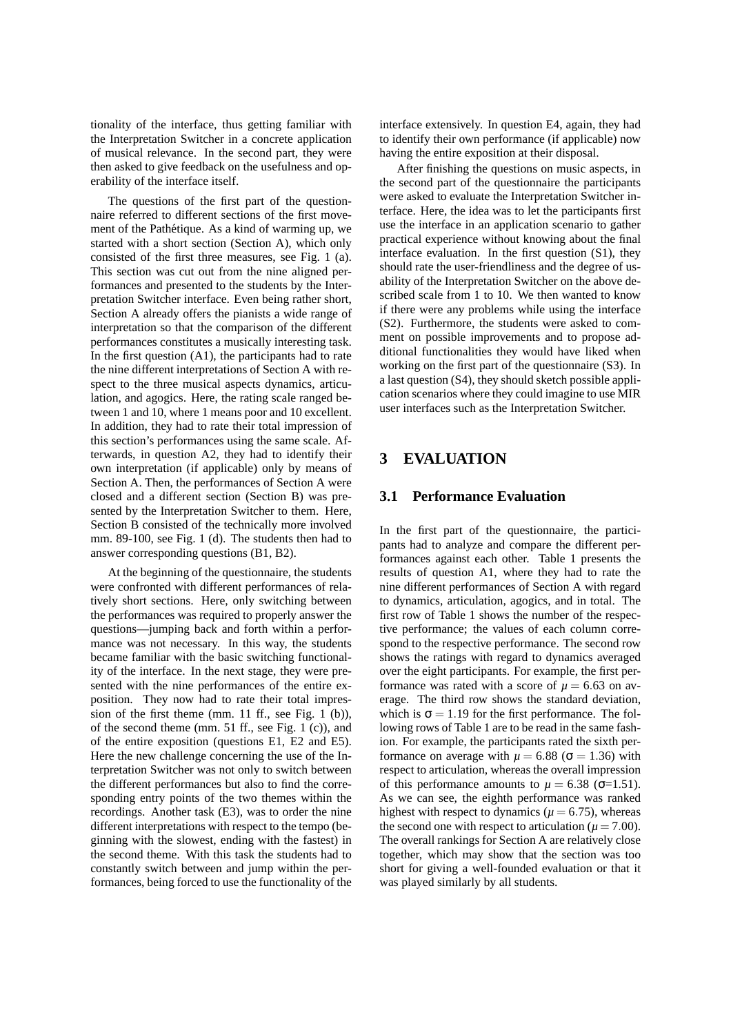tionality of the interface, thus getting familiar with the Interpretation Switcher in a concrete application of musical relevance. In the second part, they were then asked to give feedback on the usefulness and operability of the interface itself.

The questions of the first part of the questionnaire referred to different sections of the first movement of the Pathétique. As a kind of warming up, we started with a short section (Section A), which only consisted of the first three measures, see Fig. 1 (a). This section was cut out from the nine aligned performances and presented to the students by the Interpretation Switcher interface. Even being rather short, Section A already offers the pianists a wide range of interpretation so that the comparison of the different performances constitutes a musically interesting task. In the first question (A1), the participants had to rate the nine different interpretations of Section A with respect to the three musical aspects dynamics, articulation, and agogics. Here, the rating scale ranged between 1 and 10, where 1 means poor and 10 excellent. In addition, they had to rate their total impression of this section's performances using the same scale. Afterwards, in question A2, they had to identify their own interpretation (if applicable) only by means of Section A. Then, the performances of Section A were closed and a different section (Section B) was presented by the Interpretation Switcher to them. Here, Section B consisted of the technically more involved mm. 89-100, see Fig. 1 (d). The students then had to answer corresponding questions (B1, B2).

At the beginning of the questionnaire, the students were confronted with different performances of relatively short sections. Here, only switching between the performances was required to properly answer the questions—jumping back and forth within a performance was not necessary. In this way, the students became familiar with the basic switching functionality of the interface. In the next stage, they were presented with the nine performances of the entire exposition. They now had to rate their total impression of the first theme (mm. 11 ff., see Fig. 1 (b)), of the second theme (mm. 51 ff., see Fig. 1 (c)), and of the entire exposition (questions E1, E2 and E5). Here the new challenge concerning the use of the Interpretation Switcher was not only to switch between the different performances but also to find the corresponding entry points of the two themes within the recordings. Another task (E3), was to order the nine different interpretations with respect to the tempo (beginning with the slowest, ending with the fastest) in the second theme. With this task the students had to constantly switch between and jump within the performances, being forced to use the functionality of the interface extensively. In question E4, again, they had to identify their own performance (if applicable) now having the entire exposition at their disposal.

After finishing the questions on music aspects, in the second part of the questionnaire the participants were asked to evaluate the Interpretation Switcher interface. Here, the idea was to let the participants first use the interface in an application scenario to gather practical experience without knowing about the final interface evaluation. In the first question (S1), they should rate the user-friendliness and the degree of usability of the Interpretation Switcher on the above described scale from 1 to 10. We then wanted to know if there were any problems while using the interface (S2). Furthermore, the students were asked to comment on possible improvements and to propose additional functionalities they would have liked when working on the first part of the questionnaire (S3). In a last question (S4), they should sketch possible application scenarios where they could imagine to use MIR user interfaces such as the Interpretation Switcher.

# **3 EVALUATION**

### **3.1 Performance Evaluation**

In the first part of the questionnaire, the participants had to analyze and compare the different performances against each other. Table 1 presents the results of question A1, where they had to rate the nine different performances of Section A with regard to dynamics, articulation, agogics, and in total. The first row of Table 1 shows the number of the respective performance; the values of each column correspond to the respective performance. The second row shows the ratings with regard to dynamics averaged over the eight participants. For example, the first performance was rated with a score of  $\mu = 6.63$  on average. The third row shows the standard deviation, which is  $\sigma = 1.19$  for the first performance. The following rows of Table 1 are to be read in the same fashion. For example, the participants rated the sixth performance on average with  $\mu = 6.88$  ( $\sigma = 1.36$ ) with respect to articulation, whereas the overall impression of this performance amounts to  $\mu = 6.38$  ( $\sigma$ =1.51). As we can see, the eighth performance was ranked highest with respect to dynamics ( $\mu$  = 6.75), whereas the second one with respect to articulation ( $\mu$  = 7.00). The overall rankings for Section A are relatively close together, which may show that the section was too short for giving a well-founded evaluation or that it was played similarly by all students.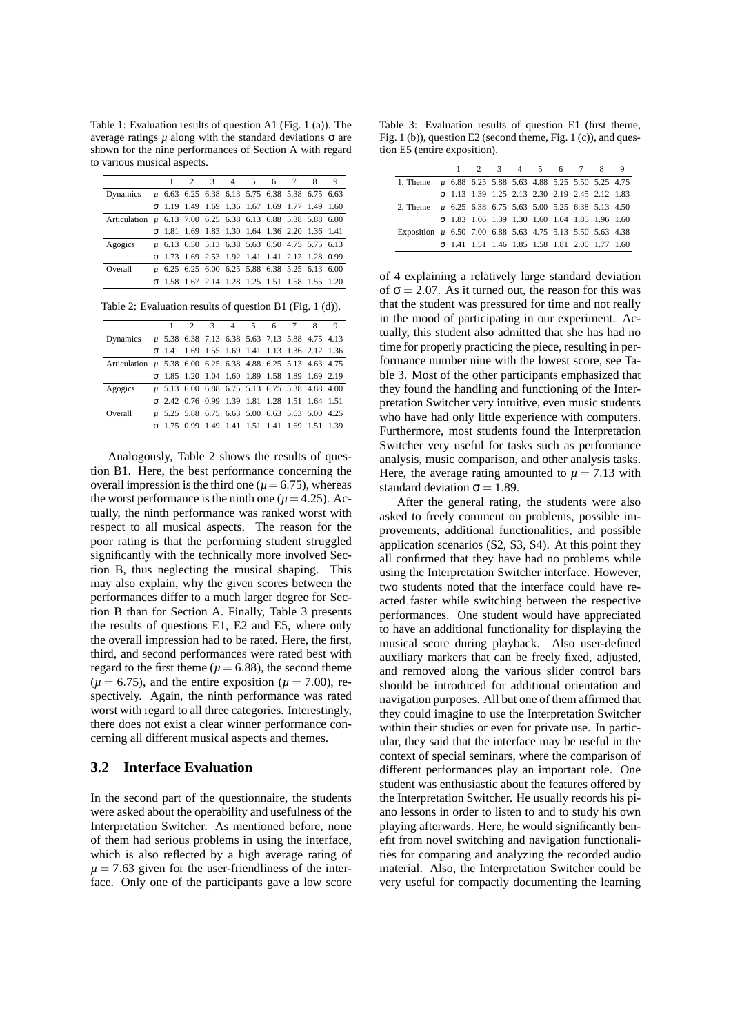Table 1: Evaluation results of question A1 (Fig. 1 (a)). The average ratings  $\mu$  along with the standard deviations  $σ$  are shown for the nine performances of Section A with regard to various musical aspects.

|                                                             |                                                       |  | 2 3 4 5 6 7 8 9 |  |  |
|-------------------------------------------------------------|-------------------------------------------------------|--|-----------------|--|--|
| Dynamics u 6.63 6.25 6.38 6.13 5.75 6.38 5.38 6.75 6.63     |                                                       |  |                 |  |  |
|                                                             | $σ$ 1.19 1.49 1.69 1.36 1.67 1.69 1.77 1.49 1.60      |  |                 |  |  |
| Articulation µ 6.13 7.00 6.25 6.38 6.13 6.88 5.38 5.88 6.00 |                                                       |  |                 |  |  |
|                                                             | $\sigma$ 1.81 1.69 1.83 1.30 1.64 1.36 2.20 1.36 1.41 |  |                 |  |  |
| Agogics                                                     | µ 6.13 6.50 5.13 6.38 5.63 6.50 4.75 5.75 6.13        |  |                 |  |  |
|                                                             | σ 1.73 1.69 2.53 1.92 1.41 1.41 2.12 1.28 0.99        |  |                 |  |  |
| Overall                                                     | u 6.25 6.25 6.00 6.25 5.88 6.38 5.25 6.13 6.00        |  |                 |  |  |
|                                                             | σ 1.58 1.67 2.14 1.28 1.25 1.51 1.58 1.55 1.20        |  |                 |  |  |

Table 2: Evaluation results of question B1 (Fig. 1 (d)).

|                                                             |                                                       |  |  | 2 3 4 5 6 7 8 |  |  |  | 9 |
|-------------------------------------------------------------|-------------------------------------------------------|--|--|---------------|--|--|--|---|
| Dynamics $\mu$ 5.38 6.38 7.13 6.38 5.63 7.13 5.88 4.75 4.13 |                                                       |  |  |               |  |  |  |   |
|                                                             | $\sigma$ 1.41 1.69 1.55 1.69 1.41 1.13 1.36 2.12 1.36 |  |  |               |  |  |  |   |
| Articulation u 5.38 6.00 6.25 6.38 4.88 6.25 5.13 4.63 4.75 |                                                       |  |  |               |  |  |  |   |
|                                                             | $\sigma$ 1.85 1.20 1.04 1.60 1.89 1.58 1.89 1.69 2.19 |  |  |               |  |  |  |   |
| Agogics                                                     | µ 5.13 6.00 6.88 6.75 5.13 6.75 5.38 4.88 4.00        |  |  |               |  |  |  |   |
|                                                             | σ 2.42 0.76 0.99 1.39 1.81 1.28 1.51 1.64 1.51        |  |  |               |  |  |  |   |
| Overall                                                     | µ 5.25 5.88 6.75 6.63 5.00 6.63 5.63 5.00 4.25        |  |  |               |  |  |  |   |
|                                                             | σ 1.75 0.99 1.49 1.41 1.51 1.41 1.69 1.51 1.39        |  |  |               |  |  |  |   |
|                                                             |                                                       |  |  |               |  |  |  |   |

Analogously, Table 2 shows the results of question B1. Here, the best performance concerning the overall impression is the third one ( $\mu$  = 6.75), whereas the worst performance is the ninth one ( $\mu$  = 4.25). Actually, the ninth performance was ranked worst with respect to all musical aspects. The reason for the poor rating is that the performing student struggled significantly with the technically more involved Section B, thus neglecting the musical shaping. This may also explain, why the given scores between the performances differ to a much larger degree for Section B than for Section A. Finally, Table 3 presents the results of questions E1, E2 and E5, where only the overall impression had to be rated. Here, the first, third, and second performances were rated best with regard to the first theme ( $\mu$  = 6.88), the second theme  $(\mu = 6.75)$ , and the entire exposition  $(\mu = 7.00)$ , respectively. Again, the ninth performance was rated worst with regard to all three categories. Interestingly, there does not exist a clear winner performance concerning all different musical aspects and themes.

#### **3.2 Interface Evaluation**

In the second part of the questionnaire, the students were asked about the operability and usefulness of the Interpretation Switcher. As mentioned before, none of them had serious problems in using the interface, which is also reflected by a high average rating of  $\mu = 7.63$  given for the user-friendliness of the interface. Only one of the participants gave a low score

Table 3: Evaluation results of question E1 (first theme, Fig. 1 (b)), question E2 (second theme, Fig. 1 (c)), and question E5 (entire exposition).

|                                                               |                                                       |  | 1 2 3 4 5 6 7 8 9 |  |  |
|---------------------------------------------------------------|-------------------------------------------------------|--|-------------------|--|--|
| 1. Theme $\mu$ 6.88 6.25 5.88 5.63 4.88 5.25 5.50 5.25 4.75   |                                                       |  |                   |  |  |
|                                                               | σ 1.13 1.39 1.25 2.13 2.30 2.19 2.45 2.12 1.83        |  |                   |  |  |
| 2. Theme $\mu$ 6.25 6.38 6.75 5.63 5.00 5.25 6.38 5.13 4.50   |                                                       |  |                   |  |  |
|                                                               | $\sigma$ 1.83 1.06 1.39 1.30 1.60 1.04 1.85 1.96 1.60 |  |                   |  |  |
| Exposition $\mu$ 6.50 7.00 6.88 5.63 4.75 5.13 5.50 5.63 4.38 |                                                       |  |                   |  |  |
|                                                               | $\sigma$ 1.41 1.51 1.46 1.85 1.58 1.81 2.00 1.77 1.60 |  |                   |  |  |

of 4 explaining a relatively large standard deviation of  $\sigma = 2.07$ . As it turned out, the reason for this was that the student was pressured for time and not really in the mood of participating in our experiment. Actually, this student also admitted that she has had no time for properly practicing the piece, resulting in performance number nine with the lowest score, see Table 3. Most of the other participants emphasized that they found the handling and functioning of the Interpretation Switcher very intuitive, even music students who have had only little experience with computers. Furthermore, most students found the Interpretation Switcher very useful for tasks such as performance analysis, music comparison, and other analysis tasks. Here, the average rating amounted to  $\mu = 7.13$  with standard deviation  $\sigma = 1.89$ .

After the general rating, the students were also asked to freely comment on problems, possible improvements, additional functionalities, and possible application scenarios (S2, S3, S4). At this point they all confirmed that they have had no problems while using the Interpretation Switcher interface. However, two students noted that the interface could have reacted faster while switching between the respective performances. One student would have appreciated to have an additional functionality for displaying the musical score during playback. Also user-defined auxiliary markers that can be freely fixed, adjusted, and removed along the various slider control bars should be introduced for additional orientation and navigation purposes. All but one of them affirmed that they could imagine to use the Interpretation Switcher within their studies or even for private use. In particular, they said that the interface may be useful in the context of special seminars, where the comparison of different performances play an important role. One student was enthusiastic about the features offered by the Interpretation Switcher. He usually records his piano lessons in order to listen to and to study his own playing afterwards. Here, he would significantly benefit from novel switching and navigation functionalities for comparing and analyzing the recorded audio material. Also, the Interpretation Switcher could be very useful for compactly documenting the learning